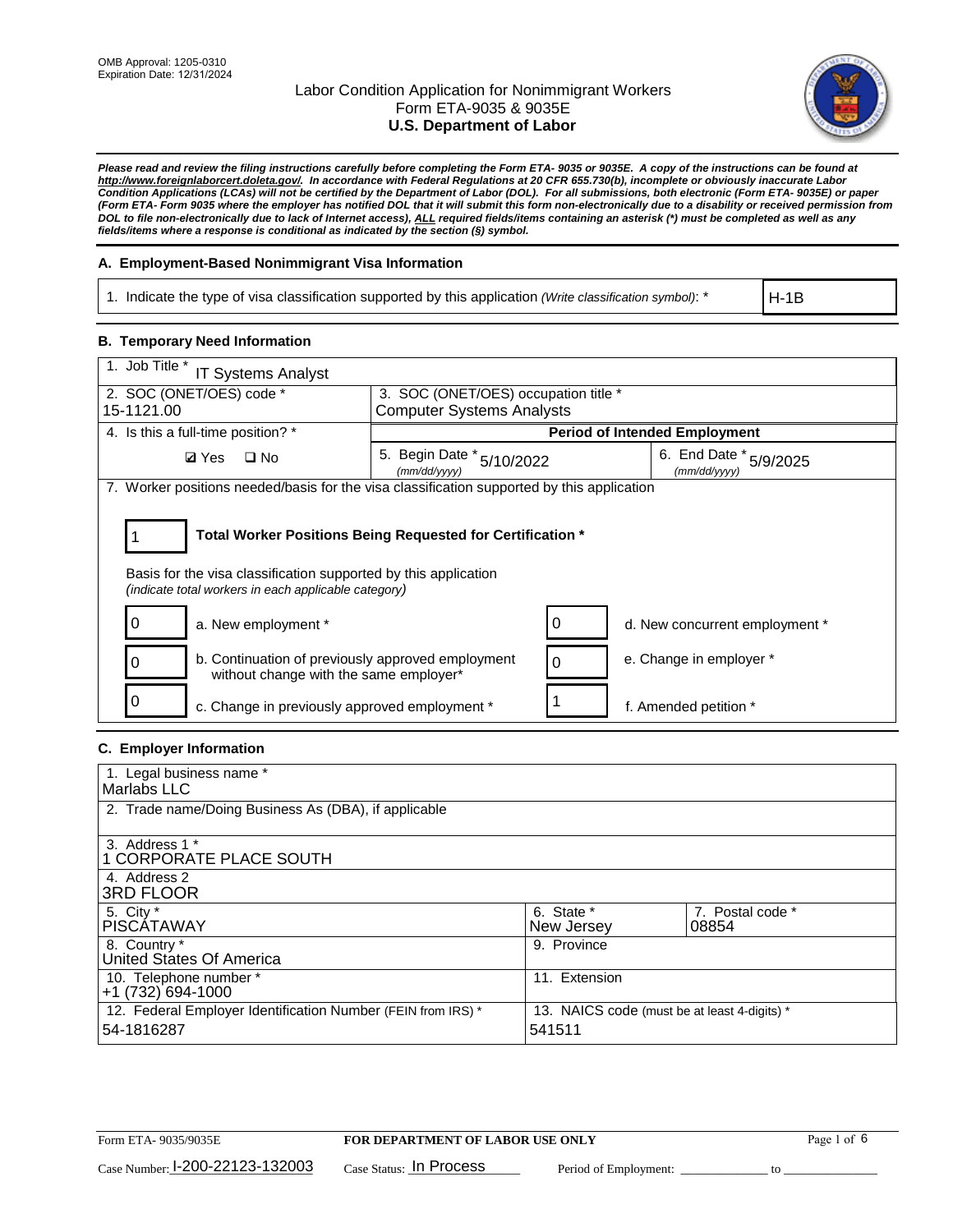

*Please read and review the filing instructions carefully before completing the Form ETA- 9035 or 9035E. A copy of the instructions can be found at http://www.foreignlaborcert.doleta.gov/. In accordance with Federal Regulations at 20 CFR 655.730(b), incomplete or obviously inaccurate Labor Condition Applications (LCAs) will not be certified by the Department of Labor (DOL). For all submissions, both electronic (Form ETA- 9035E) or paper (Form ETA- Form 9035 where the employer has notified DOL that it will submit this form non-electronically due to a disability or received permission from DOL to file non-electronically due to lack of Internet access), ALL required fields/items containing an asterisk (\*) must be completed as well as any fields/items where a response is conditional as indicated by the section (§) symbol.* 

## **A. Employment-Based Nonimmigrant Visa Information**

1. Indicate the type of visa classification supported by this application *(Write classification symbol)*: \*

H-1B

### **B. Temporary Need Information**

| 1. Job Title *<br><b>IT Systems Analyst</b>                                                                                                                                           |                                                                                     |   |                                |  |  |  |
|---------------------------------------------------------------------------------------------------------------------------------------------------------------------------------------|-------------------------------------------------------------------------------------|---|--------------------------------|--|--|--|
| 2. SOC (ONET/OES) code *<br>15-1121.00                                                                                                                                                | 3. SOC (ONET/OES) occupation title *                                                |   |                                |  |  |  |
|                                                                                                                                                                                       | <b>Computer Systems Analysts</b>                                                    |   |                                |  |  |  |
| 4. Is this a full-time position? *                                                                                                                                                    | <b>Period of Intended Employment</b>                                                |   |                                |  |  |  |
| $\square$ No<br><b>Ø</b> Yes                                                                                                                                                          | 6. End Date * 5/9/2025<br>5. Begin Date * 5/10/2022<br>(mm/dd/yyyy)<br>(mm/dd/yyyy) |   |                                |  |  |  |
| 7. Worker positions needed/basis for the visa classification supported by this application                                                                                            |                                                                                     |   |                                |  |  |  |
| Total Worker Positions Being Requested for Certification *<br>Basis for the visa classification supported by this application<br>(indicate total workers in each applicable category) |                                                                                     |   |                                |  |  |  |
| a. New employment *                                                                                                                                                                   |                                                                                     |   | d. New concurrent employment * |  |  |  |
| b. Continuation of previously approved employment<br>without change with the same employer*                                                                                           |                                                                                     | 0 | e. Change in employer *        |  |  |  |
| c. Change in previously approved employment *                                                                                                                                         |                                                                                     |   | f. Amended petition *          |  |  |  |

## **C. Employer Information**

| 1. Legal business name *                                                   |                                                        |                           |  |
|----------------------------------------------------------------------------|--------------------------------------------------------|---------------------------|--|
| Marlabs LLC                                                                |                                                        |                           |  |
| 2. Trade name/Doing Business As (DBA), if applicable                       |                                                        |                           |  |
| 3. Address 1 *<br>1 CORPORATE PLACE SOUTH<br>4. Address 2                  |                                                        |                           |  |
| <b>3RD FLOOR</b>                                                           |                                                        |                           |  |
| 5. City *<br><b>PISCÁTAWAY</b>                                             | 6. State *<br>New Jersey                               | 7. Postal code *<br>08854 |  |
| 8. Country *<br>United States Of America                                   | 9. Province                                            |                           |  |
| 10. Telephone number *<br>$+1(732)694-1000$                                | 11. Extension                                          |                           |  |
| 12. Federal Employer Identification Number (FEIN from IRS) *<br>54-1816287 | 13. NAICS code (must be at least 4-digits) *<br>541511 |                           |  |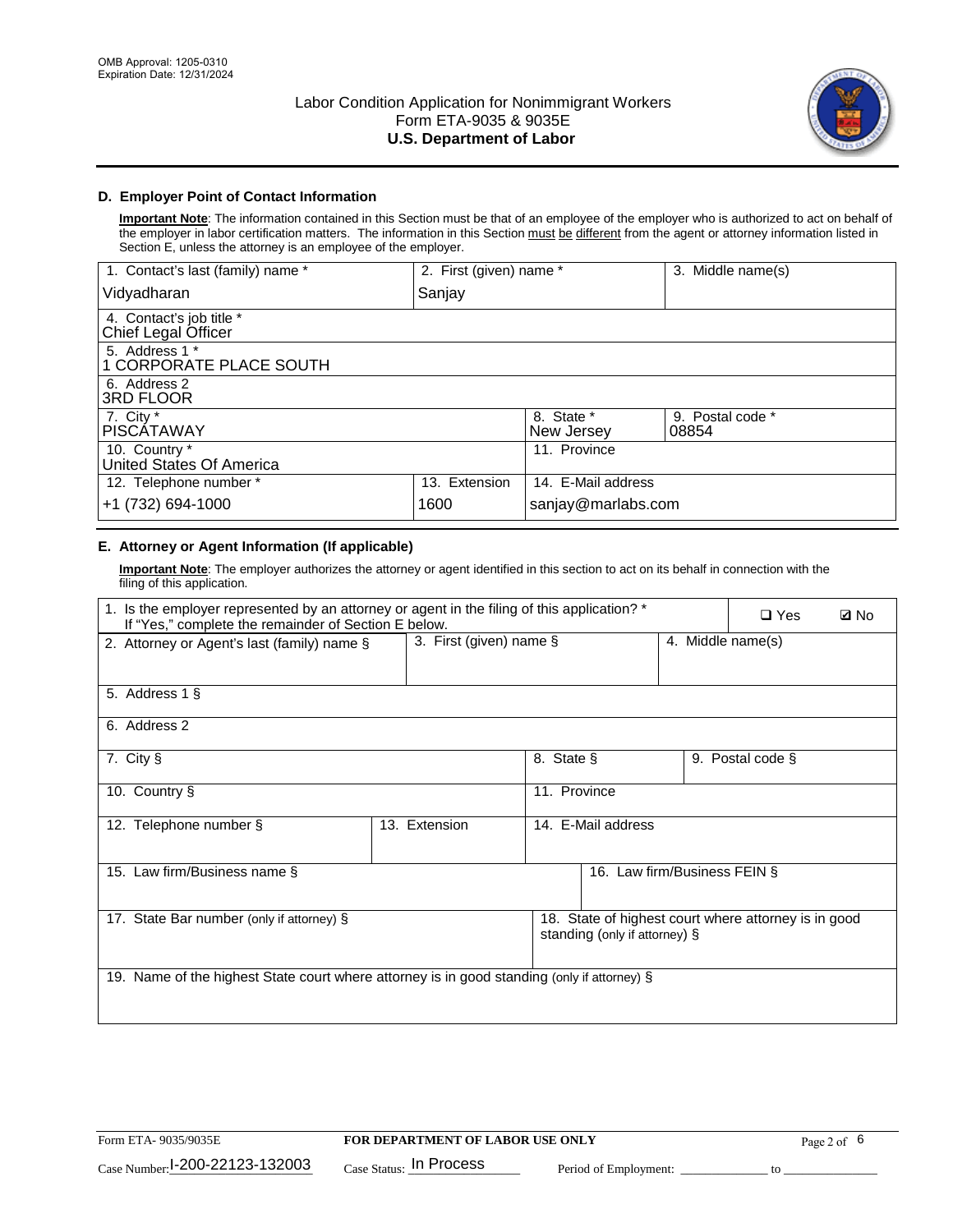

# **D. Employer Point of Contact Information**

**Important Note**: The information contained in this Section must be that of an employee of the employer who is authorized to act on behalf of the employer in labor certification matters. The information in this Section must be different from the agent or attorney information listed in Section E, unless the attorney is an employee of the employer.

| 1. Contact's last (family) name *               | 2. First (given) name * |                          | 3. Middle name(s)         |
|-------------------------------------------------|-------------------------|--------------------------|---------------------------|
| Vidyadharan                                     | Sanjay                  |                          |                           |
| 4. Contact's job title *<br>Chief Legal Officer |                         |                          |                           |
| 5. Address 1 *<br>1 CORPORATE PLACE SOUTH       |                         |                          |                           |
| 6. Address 2<br><b>3RD FLOOR</b>                |                         |                          |                           |
| 7. City *<br><b>PISCÁTAWAY</b>                  |                         | 8. State *<br>New Jersey | 9. Postal code *<br>08854 |
| 10. Country *<br>United States Of America       |                         | 11. Province             |                           |
| 12. Telephone number *                          | 13. Extension           | 14. E-Mail address       |                           |
| +1 (732) 694-1000                               | 1600                    | sanjay@marlabs.com       |                           |

# **E. Attorney or Agent Information (If applicable)**

**Important Note**: The employer authorizes the attorney or agent identified in this section to act on its behalf in connection with the filing of this application.

| 1. Is the employer represented by an attorney or agent in the filing of this application? *<br>If "Yes," complete the remainder of Section E below. |                                              |                    |                               |  | $\Box$ Yes                                           | <b>ØNo</b> |
|-----------------------------------------------------------------------------------------------------------------------------------------------------|----------------------------------------------|--------------------|-------------------------------|--|------------------------------------------------------|------------|
| 2. Attorney or Agent's last (family) name §                                                                                                         | 3. First (given) name §<br>4. Middle name(s) |                    |                               |  |                                                      |            |
| 5. Address 1 §                                                                                                                                      |                                              |                    |                               |  |                                                      |            |
| 6. Address 2                                                                                                                                        |                                              |                    |                               |  |                                                      |            |
| 7. City §                                                                                                                                           |                                              | 8. State §         |                               |  | 9. Postal code §                                     |            |
| 10. Country §                                                                                                                                       |                                              | 11. Province       |                               |  |                                                      |            |
| 12. Telephone number §                                                                                                                              | 13. Extension                                | 14. E-Mail address |                               |  |                                                      |            |
| 15. Law firm/Business name §                                                                                                                        |                                              |                    | 16. Law firm/Business FEIN §  |  |                                                      |            |
| 17. State Bar number (only if attorney) §                                                                                                           |                                              |                    | standing (only if attorney) § |  | 18. State of highest court where attorney is in good |            |
| 19. Name of the highest State court where attorney is in good standing (only if attorney) §                                                         |                                              |                    |                               |  |                                                      |            |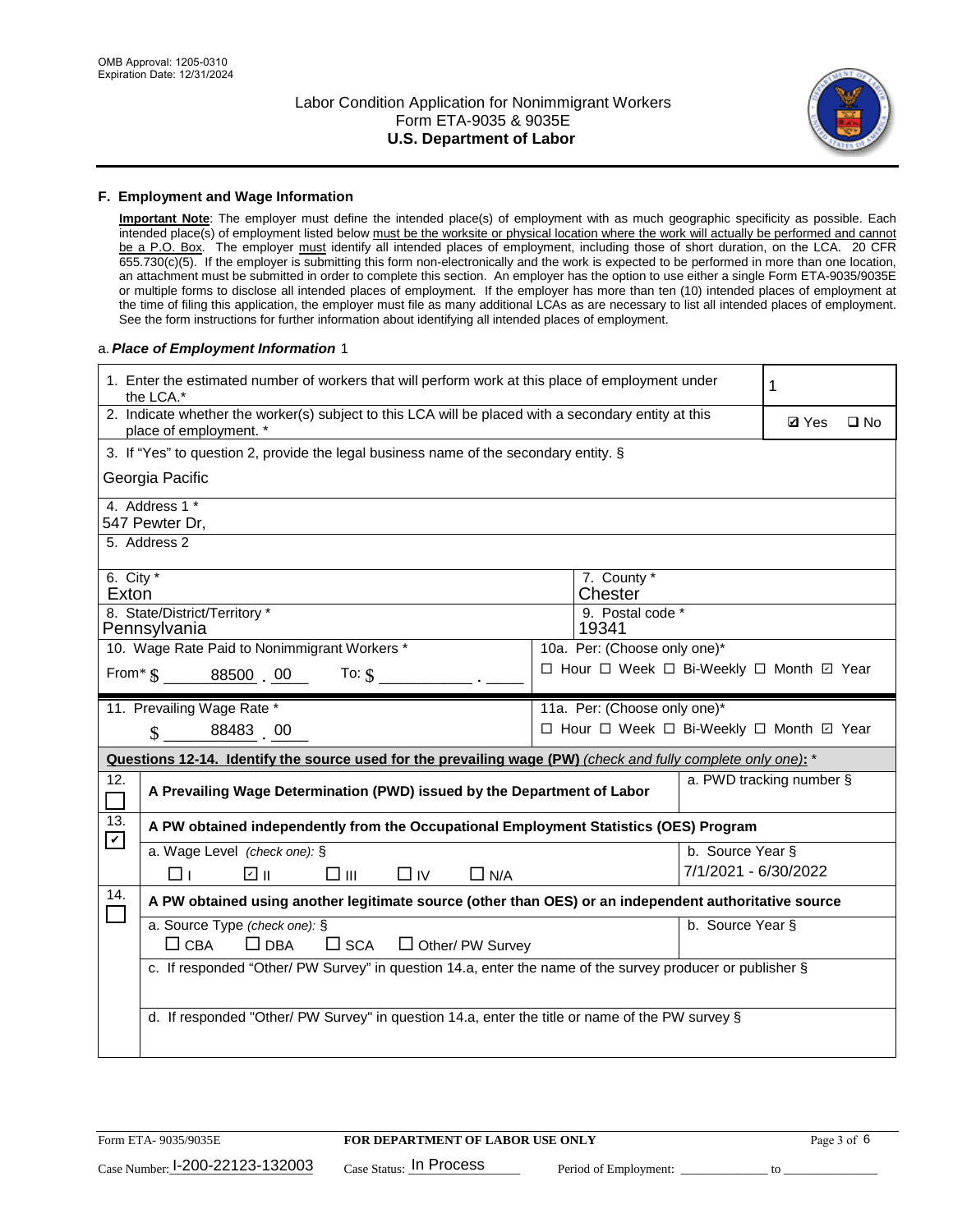

### **F. Employment and Wage Information**

**Important Note**: The employer must define the intended place(s) of employment with as much geographic specificity as possible. Each intended place(s) of employment listed below must be the worksite or physical location where the work will actually be performed and cannot be a P.O. Box. The employer must identify all intended places of employment, including those of short duration, on the LCA. 20 CFR 655.730(c)(5). If the employer is submitting this form non-electronically and the work is expected to be performed in more than one location, an attachment must be submitted in order to complete this section. An employer has the option to use either a single Form ETA-9035/9035E or multiple forms to disclose all intended places of employment. If the employer has more than ten (10) intended places of employment at the time of filing this application, the employer must file as many additional LCAs as are necessary to list all intended places of employment. See the form instructions for further information about identifying all intended places of employment.

### a.*Place of Employment Information* 1

|                                                                                    | 1. Enter the estimated number of workers that will perform work at this place of employment under<br>the LCA.*                 |  | 1 |                      |                                          |  |  |  |
|------------------------------------------------------------------------------------|--------------------------------------------------------------------------------------------------------------------------------|--|---|----------------------|------------------------------------------|--|--|--|
|                                                                                    | 2. Indicate whether the worker(s) subject to this LCA will be placed with a secondary entity at this<br>place of employment. * |  |   |                      | <b>Ø</b> Yes<br>$\square$ No             |  |  |  |
|                                                                                    | 3. If "Yes" to question 2, provide the legal business name of the secondary entity. §                                          |  |   |                      |                                          |  |  |  |
|                                                                                    | Georgia Pacific                                                                                                                |  |   |                      |                                          |  |  |  |
| 4. Address 1 *<br>547 Pewter Dr,                                                   |                                                                                                                                |  |   |                      |                                          |  |  |  |
|                                                                                    | 5. Address 2                                                                                                                   |  |   |                      |                                          |  |  |  |
|                                                                                    | 6. City $*$<br>7. County *<br>Chester<br>Exton                                                                                 |  |   |                      |                                          |  |  |  |
|                                                                                    | 8. State/District/Territory *<br>9. Postal code *<br>Pennsylvania<br>19341                                                     |  |   |                      |                                          |  |  |  |
| 10. Wage Rate Paid to Nonimmigrant Workers *<br>10a. Per: (Choose only one)*       |                                                                                                                                |  |   |                      |                                          |  |  |  |
| □ Hour □ Week □ Bi-Weekly □ Month 回 Year<br>From $\frac{1}{5}$ 88500 00<br>To: $$$ |                                                                                                                                |  |   |                      |                                          |  |  |  |
|                                                                                    | 11. Prevailing Wage Rate *<br>11a. Per: (Choose only one)*                                                                     |  |   |                      |                                          |  |  |  |
|                                                                                    | 88483 00<br>$\mathbf{\hat{S}}$                                                                                                 |  |   |                      | □ Hour □ Week □ Bi-Weekly □ Month □ Year |  |  |  |
|                                                                                    | Questions 12-14. Identify the source used for the prevailing wage (PW) (check and fully complete only one): *                  |  |   |                      |                                          |  |  |  |
| 12.<br>$\Box$                                                                      | A Prevailing Wage Determination (PWD) issued by the Department of Labor                                                        |  |   |                      | a. PWD tracking number §                 |  |  |  |
| 13.<br>$\mathbf v$                                                                 | A PW obtained independently from the Occupational Employment Statistics (OES) Program                                          |  |   |                      |                                          |  |  |  |
|                                                                                    | a. Wage Level (check one): §                                                                                                   |  |   | b. Source Year §     |                                          |  |  |  |
|                                                                                    | ☑ ⊪<br>$\square$ $\square$<br>$\Box$ IV<br>$\Box$ N/A<br>□⊥                                                                    |  |   | 7/1/2021 - 6/30/2022 |                                          |  |  |  |
| 14.                                                                                | A PW obtained using another legitimate source (other than OES) or an independent authoritative source                          |  |   |                      |                                          |  |  |  |
|                                                                                    | a. Source Type (check one): §<br>b. Source Year §<br>$\Box$ CBA<br>$\Box$ DBA<br>$\square$ SCA<br>$\Box$ Other/ PW Survey      |  |   |                      |                                          |  |  |  |
|                                                                                    | c. If responded "Other/ PW Survey" in question 14.a, enter the name of the survey producer or publisher §                      |  |   |                      |                                          |  |  |  |
|                                                                                    | d. If responded "Other/ PW Survey" in question 14.a, enter the title or name of the PW survey §                                |  |   |                      |                                          |  |  |  |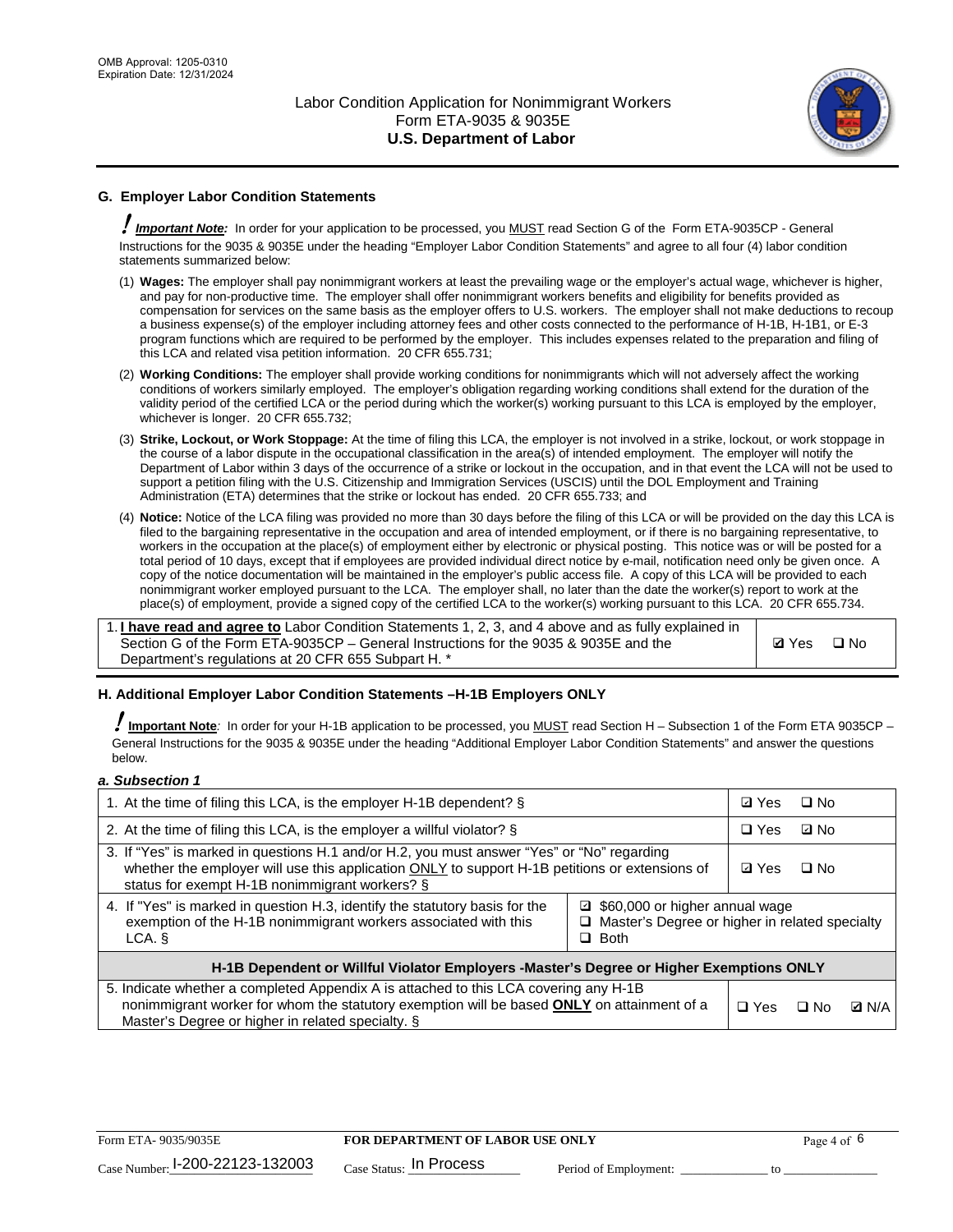

# **G. Employer Labor Condition Statements**

! *Important Note:* In order for your application to be processed, you MUST read Section G of the Form ETA-9035CP - General Instructions for the 9035 & 9035E under the heading "Employer Labor Condition Statements" and agree to all four (4) labor condition statements summarized below:

- (1) **Wages:** The employer shall pay nonimmigrant workers at least the prevailing wage or the employer's actual wage, whichever is higher, and pay for non-productive time. The employer shall offer nonimmigrant workers benefits and eligibility for benefits provided as compensation for services on the same basis as the employer offers to U.S. workers. The employer shall not make deductions to recoup a business expense(s) of the employer including attorney fees and other costs connected to the performance of H-1B, H-1B1, or E-3 program functions which are required to be performed by the employer. This includes expenses related to the preparation and filing of this LCA and related visa petition information. 20 CFR 655.731;
- (2) **Working Conditions:** The employer shall provide working conditions for nonimmigrants which will not adversely affect the working conditions of workers similarly employed. The employer's obligation regarding working conditions shall extend for the duration of the validity period of the certified LCA or the period during which the worker(s) working pursuant to this LCA is employed by the employer, whichever is longer. 20 CFR 655.732;
- (3) **Strike, Lockout, or Work Stoppage:** At the time of filing this LCA, the employer is not involved in a strike, lockout, or work stoppage in the course of a labor dispute in the occupational classification in the area(s) of intended employment. The employer will notify the Department of Labor within 3 days of the occurrence of a strike or lockout in the occupation, and in that event the LCA will not be used to support a petition filing with the U.S. Citizenship and Immigration Services (USCIS) until the DOL Employment and Training Administration (ETA) determines that the strike or lockout has ended. 20 CFR 655.733; and
- (4) **Notice:** Notice of the LCA filing was provided no more than 30 days before the filing of this LCA or will be provided on the day this LCA is filed to the bargaining representative in the occupation and area of intended employment, or if there is no bargaining representative, to workers in the occupation at the place(s) of employment either by electronic or physical posting. This notice was or will be posted for a total period of 10 days, except that if employees are provided individual direct notice by e-mail, notification need only be given once. A copy of the notice documentation will be maintained in the employer's public access file. A copy of this LCA will be provided to each nonimmigrant worker employed pursuant to the LCA. The employer shall, no later than the date the worker(s) report to work at the place(s) of employment, provide a signed copy of the certified LCA to the worker(s) working pursuant to this LCA. 20 CFR 655.734.

1. **I have read and agree to** Labor Condition Statements 1, 2, 3, and 4 above and as fully explained in Section G of the Form ETA-9035CP – General Instructions for the 9035 & 9035E and the Department's regulations at 20 CFR 655 Subpart H. \*

**Ø**Yes ロNo

## **H. Additional Employer Labor Condition Statements –H-1B Employers ONLY**

!**Important Note***:* In order for your H-1B application to be processed, you MUST read Section H – Subsection 1 of the Form ETA 9035CP – General Instructions for the 9035 & 9035E under the heading "Additional Employer Labor Condition Statements" and answer the questions below.

#### *a. Subsection 1*

| 1. At the time of filing this LCA, is the employer H-1B dependent? §                                                                                                                                                                           |                                                                                                     |  | $\square$ No |              |  |
|------------------------------------------------------------------------------------------------------------------------------------------------------------------------------------------------------------------------------------------------|-----------------------------------------------------------------------------------------------------|--|--------------|--------------|--|
| 2. At the time of filing this LCA, is the employer a willful violator? $\S$                                                                                                                                                                    |                                                                                                     |  | ⊡ No         |              |  |
| 3. If "Yes" is marked in questions H.1 and/or H.2, you must answer "Yes" or "No" regarding<br>whether the employer will use this application ONLY to support H-1B petitions or extensions of<br>status for exempt H-1B nonimmigrant workers? § |                                                                                                     |  | $\Box$ No    |              |  |
| 4. If "Yes" is marked in question H.3, identify the statutory basis for the<br>exemption of the H-1B nonimmigrant workers associated with this<br>LCA.                                                                                         | ■ \$60,000 or higher annual wage<br>□ Master's Degree or higher in related specialty<br>$\Box$ Both |  |              |              |  |
| H-1B Dependent or Willful Violator Employers -Master's Degree or Higher Exemptions ONLY                                                                                                                                                        |                                                                                                     |  |              |              |  |
| 5. Indicate whether a completed Appendix A is attached to this LCA covering any H-1B<br>nonimmigrant worker for whom the statutory exemption will be based <b>ONLY</b> on attainment of a<br>Master's Degree or higher in related specialty. § |                                                                                                     |  | ⊡ No         | <b>D</b> N/A |  |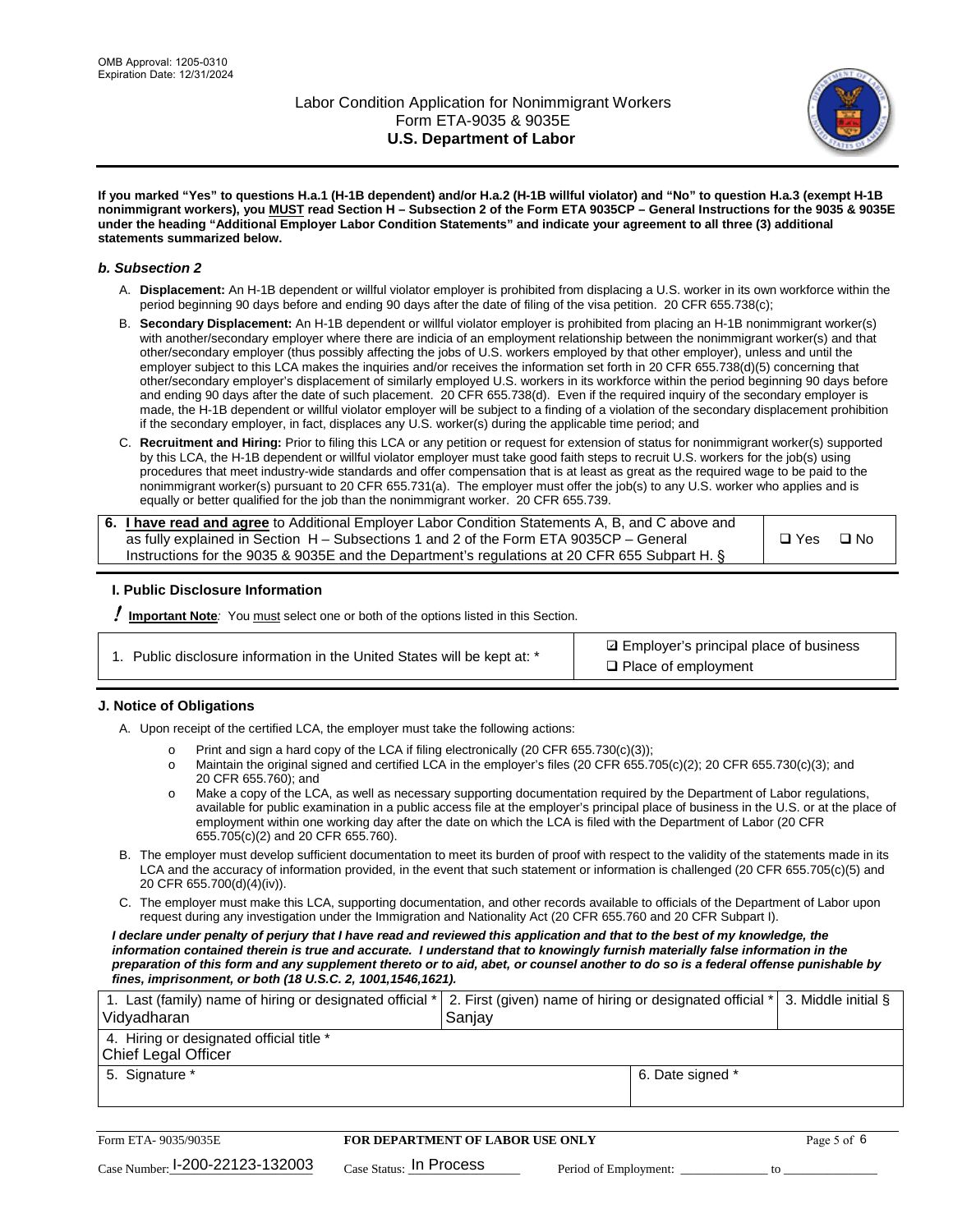

**If you marked "Yes" to questions H.a.1 (H-1B dependent) and/or H.a.2 (H-1B willful violator) and "No" to question H.a.3 (exempt H-1B nonimmigrant workers), you MUST read Section H – Subsection 2 of the Form ETA 9035CP – General Instructions for the 9035 & 9035E under the heading "Additional Employer Labor Condition Statements" and indicate your agreement to all three (3) additional statements summarized below.**

### *b. Subsection 2*

- A. **Displacement:** An H-1B dependent or willful violator employer is prohibited from displacing a U.S. worker in its own workforce within the period beginning 90 days before and ending 90 days after the date of filing of the visa petition. 20 CFR 655.738(c);
- B. **Secondary Displacement:** An H-1B dependent or willful violator employer is prohibited from placing an H-1B nonimmigrant worker(s) with another/secondary employer where there are indicia of an employment relationship between the nonimmigrant worker(s) and that other/secondary employer (thus possibly affecting the jobs of U.S. workers employed by that other employer), unless and until the employer subject to this LCA makes the inquiries and/or receives the information set forth in 20 CFR 655.738(d)(5) concerning that other/secondary employer's displacement of similarly employed U.S. workers in its workforce within the period beginning 90 days before and ending 90 days after the date of such placement. 20 CFR 655.738(d). Even if the required inquiry of the secondary employer is made, the H-1B dependent or willful violator employer will be subject to a finding of a violation of the secondary displacement prohibition if the secondary employer, in fact, displaces any U.S. worker(s) during the applicable time period; and
- C. **Recruitment and Hiring:** Prior to filing this LCA or any petition or request for extension of status for nonimmigrant worker(s) supported by this LCA, the H-1B dependent or willful violator employer must take good faith steps to recruit U.S. workers for the job(s) using procedures that meet industry-wide standards and offer compensation that is at least as great as the required wage to be paid to the nonimmigrant worker(s) pursuant to 20 CFR 655.731(a). The employer must offer the job(s) to any U.S. worker who applies and is equally or better qualified for the job than the nonimmigrant worker. 20 CFR 655.739.

| 6. I have read and agree to Additional Employer Labor Condition Statements A, B, and C above and |       |           |
|--------------------------------------------------------------------------------------------------|-------|-----------|
| as fully explained in Section H – Subsections 1 and 2 of the Form ETA 9035CP – General           | □ Yes | $\Box$ No |
| Instructions for the 9035 & 9035E and the Department's regulations at 20 CFR 655 Subpart H. §    |       |           |

## **I. Public Disclosure Information**

! **Important Note***:* You must select one or both of the options listed in this Section.

| 1. Public disclosure information in the United States will be kept at: * |  |  |  |  |  |  |
|--------------------------------------------------------------------------|--|--|--|--|--|--|
|--------------------------------------------------------------------------|--|--|--|--|--|--|

**sqrt** Employer's principal place of business □ Place of employment

## **J. Notice of Obligations**

A. Upon receipt of the certified LCA, the employer must take the following actions:

- o Print and sign a hard copy of the LCA if filing electronically (20 CFR 655.730(c)(3));<br>
Maintain the original signed and certified LCA in the employer's files (20 CFR 655.7
- Maintain the original signed and certified LCA in the employer's files (20 CFR 655.705(c)(2); 20 CFR 655.730(c)(3); and 20 CFR 655.760); and
- o Make a copy of the LCA, as well as necessary supporting documentation required by the Department of Labor regulations, available for public examination in a public access file at the employer's principal place of business in the U.S. or at the place of employment within one working day after the date on which the LCA is filed with the Department of Labor (20 CFR 655.705(c)(2) and 20 CFR 655.760).
- B. The employer must develop sufficient documentation to meet its burden of proof with respect to the validity of the statements made in its LCA and the accuracy of information provided, in the event that such statement or information is challenged (20 CFR 655.705(c)(5) and 20 CFR 655.700(d)(4)(iv)).
- C. The employer must make this LCA, supporting documentation, and other records available to officials of the Department of Labor upon request during any investigation under the Immigration and Nationality Act (20 CFR 655.760 and 20 CFR Subpart I).

*I declare under penalty of perjury that I have read and reviewed this application and that to the best of my knowledge, the*  information contained therein is true and accurate. I understand that to knowingly furnish materially false information in the *preparation of this form and any supplement thereto or to aid, abet, or counsel another to do so is a federal offense punishable by fines, imprisonment, or both (18 U.S.C. 2, 1001,1546,1621).*

| 1. Last (family) name of hiring or designated official *   2. First (given) name of hiring or designated official *   3. Middle initial §<br>Vidyadharan | Saniav           |  |
|----------------------------------------------------------------------------------------------------------------------------------------------------------|------------------|--|
| 4. Hiring or designated official title *<br>Chief Legal Officer                                                                                          |                  |  |
| 5. Signature *                                                                                                                                           | 6. Date signed * |  |